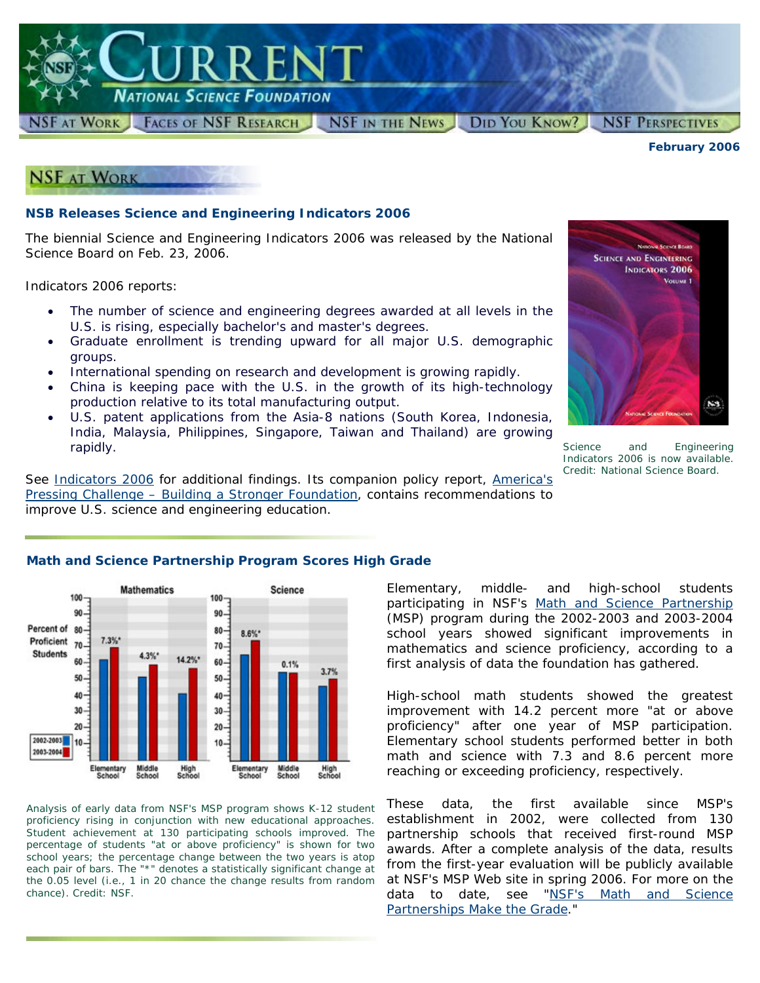National Science Foundation

RREN

**NSF AT WORK FACES OF NSF RESEARCH NSF IN THE NEWS** DID YOU KNOW? **NSF PERSPECTIVES** 

*February 2006*



## **NSB Releases Science and Engineering Indicators 2006**

The biennial *Science and Engineering Indicators 2006* was released by the National Science Board on Feb. 23, 2006.

*Indicators 2006* reports:

- The number of science and engineering degrees awarded at all levels in the U.S. is rising, especially bachelor's and master's degrees.
- Graduate enrollment is trending upward for all major U.S. demographic groups.
- International spending on research and development is growing rapidly.
- China is keeping pace with the U.S. in the growth of its high-technology production relative to its total manufacturing output.
- U.S. patent applications from the Asia-8 nations (South Korea, Indonesia, India, Malaysia, Philippines, Singapore, Taiwan and Thailand) are growing rapidly.

**SCIENCE AND ENGINEERING INDICATORS 2006** Vouusi 1  $N3$ 

Science and Engineering Indicators 2006 *is now available. Credit: National Science Board.*

See *[Indicators 2006](http://www.nsf.gov/statistics/seind06/)* for additional findings. Its companion policy report, *[America's](http://www.nsf.gov/statistics/nsb0602/) [Pressing Challenge – Building a Stronger Foundation](http://www.nsf.gov/statistics/nsb0602/)*, contains recommendations to improve U.S. science and engineering education.

#### **Mathematics Science**  $100<sub>1</sub>$  $100 -$ 90  $90.$ Percent of 80  $80 8.6\%$ \* Proficient 70.  $7.3%$ 70. **Students** 4.3%\*  $14.2%$ \* 60  $60 0.1%$ 3.7% 50  $50 -$ 40 40-30  $30<sub>1</sub>$  $20 20 -$ 2002-2003 10 10 2003-2004 Elementary Middle Middle<br>School High<br>School Elementary<br>School High<br>School School

*Analysis of early data from NSF's MSP program shows K-12 student proficiency rising in conjunction with new educational approaches. Student achievement at 130 participating schools improved. The percentage of students "at or above proficiency" is shown for two school years; the percentage change between the two years is atop each pair of bars. The "\*" denotes a statistically significant change at the 0.05 level (i.e., 1 in 20 chance the change results from random chance). Credit: NSF.*

## **Math and Science Partnership Program Scores High Grade**

Elementary, middle- and high-school students participating in NSF's [Math and Science Partnership](http://www.nsf.gov/funding/pgm_summ.jsp?pims_id=5756&org=EHR&from=fund) (MSP) program during the 2002-2003 and 2003-2004 school years showed significant improvements in mathematics and science proficiency, according to a first analysis of data the foundation has gathered.

High-school math students showed the greatest improvement with 14.2 percent more "at or above proficiency" after one year of MSP participation. Elementary school students performed better in both math and science with 7.3 and 8.6 percent more reaching or exceeding proficiency, respectively.

These data, the first available since MSP's establishment in 2002, were collected from 130 partnership schools that received first-round MSP awards. After a complete analysis of the data, results from the first-year evaluation will be publicly available at NSF's MSP Web site in spring 2006. For more on the data to date, see "[NSF's Math and Science](http://www.nsf.gov/news/news_summ.jsp?cntn_id=105812&org=NSF&from=news) [Partnerships Make the](http://www.nsf.gov/news/news_summ.jsp?cntn_id=105812&org=NSF&from=news) Grade."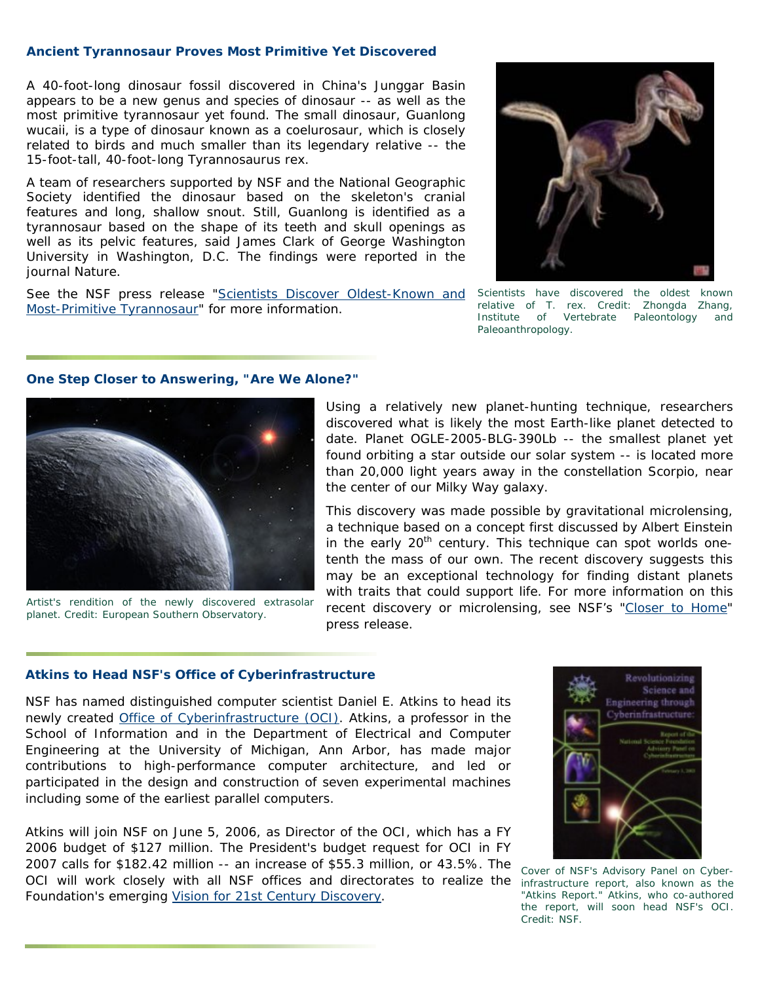## **Ancient Tyrannosaur Proves Most Primitive Yet Discovered**

A 40-foot-long dinosaur fossil discovered in China's Junggar Basin appears to be a new genus and species of dinosaur -- as well as the most primitive tyrannosaur yet found. The small dinosaur, *Guanlong wucaii*, is a type of dinosaur known as a coelurosaur, which is closely related to birds and much smaller than its legendary relative -- the 15-foot-tall, 40-foot-long *Tyrannosaurus rex*.

A team of researchers supported by NSF and the National Geographic Society identified the dinosaur based on the skeleton's cranial features and long, shallow snout. Still, *Guanlong* is identified as a tyrannosaur based on the shape of its teeth and skull openings as well as its pelvic features, said James Clark of George Washington University in Washington, D.C. The findings were reported in the journal *Nature*.

See the NSF press release "[Scientists Discover Oldest-Known and](http://www.nsf.gov/news/news_summ.jsp?cntn_id=105777) Scientists have discovered the oldest known [Most-Primitive Tyrannosaur"](http://www.nsf.gov/news/news_summ.jsp?cntn_id=105777) for more information.



*relative of* T. rex*. Credit: Zhongda Zhang, Institute of Vertebrate Paleontology and Paleoanthropology*.

## **One Step Closer to Answering, "Are We Alone?"**



*Artist's rendition of the newly discovered extrasolar planet. Credit: European Southern Observatory.*

Using a relatively new planet-hunting technique, researchers discovered what is likely the most Earth-like planet detected to date. Planet OGLE-2005-BLG-390Lb -- the smallest planet yet found orbiting a star outside our solar system -- is located more than 20,000 light years away in the constellation Scorpio, near the center of our Milky Way galaxy.

This discovery was made possible by gravitational microlensing, a technique based on a concept first discussed by Albert Einstein in the early  $20<sup>th</sup>$  century. This technique can spot worlds onetenth the mass of our own. The recent discovery suggests this may be an exceptional technology for finding distant planets with traits that could support life. For more information on this recent discovery or microlensing, see NSF's ["Closer to Home](http://www.nsf.gov/news/news_summ.jsp?cntn_id=105759)" press release.

## **Atkins to Head NSF's Office of Cyberinfrastructure**

NSF has named distinguished computer scientist Daniel E. Atkins to head its newly created [Office of Cyberinfrastructure \(OCI\)](http://www.nsf.gov/dir/index.jsp?org=OCI). Atkins, a professor in the School of Information and in the Department of Electrical and Computer Engineering at the University of Michigan, Ann Arbor, has made major contributions to high-performance computer architecture, and led or participated in the design and construction of seven experimental machines including some of the earliest parallel computers.

Atkins will join NSF on June 5, 2006, as Director of the OCI, which has a FY 2006 budget of \$127 million. The President's budget request for OCI in FY 2007 calls for \$182.42 million -- an increase of \$55.3 million, or 43.5%. The OCI will work closely with all NSF offices and directorates to realize the *infrastructure report, also known as the*  Foundation's emerging [Vision for 21st Century Discovery](http://www.nsf.gov/od/oci/ci_v5.pdf).



*Cover of NSF's Advisory Panel on Cyber-"Atkins Report." Atkins, who co-authored the report, will soon head NSF's OCI. Credit: NSF.*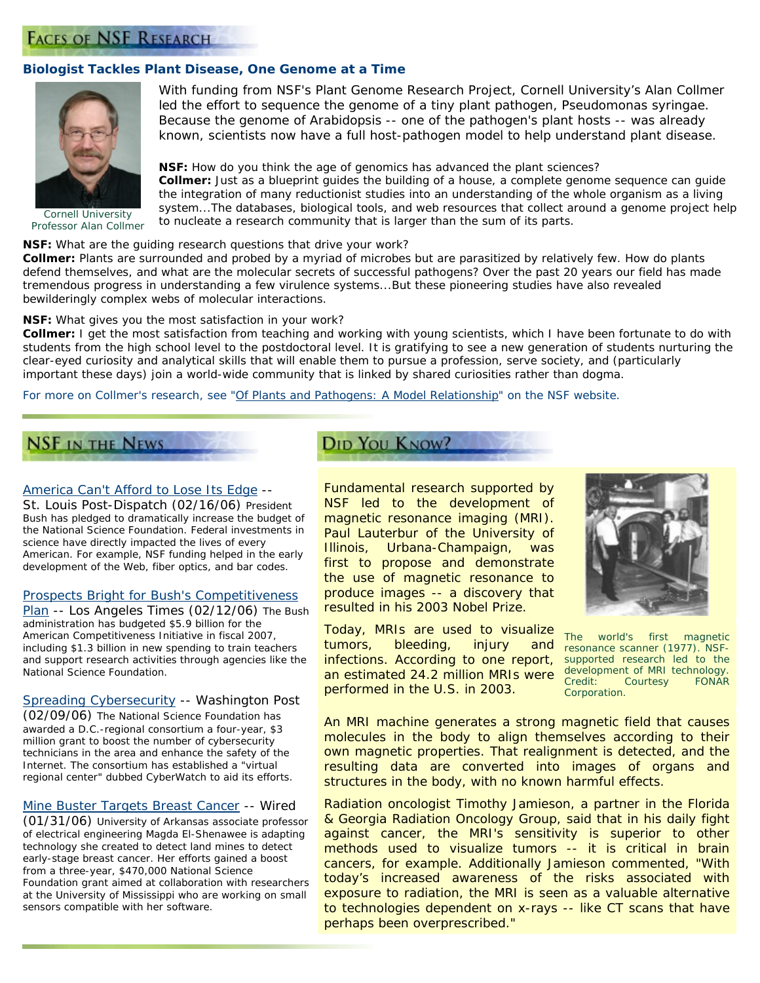## **FACES OF NSF RESEARCH**

## **Biologist Tackles Plant Disease, One Genome at a Time**



*Cornell University Professor Alan Collmer*

With funding from NSF's Plant Genome Research Project, Cornell University's Alan Collmer led the effort to sequence the genome of a tiny plant pathogen, *Pseudomonas syringae*. Because the genome of *Arabidopsis --* one of the pathogen's plant hosts -- was already known, scientists now have a full host-pathogen model to help understand plant disease.

### **NSF:** *How do you think the age of genomics has advanced the plant sciences?*

**Collmer:** Just as a blueprint guides the building of a house, a complete genome sequence can guide the integration of many reductionist studies into an understanding of the whole organism as a living system...The databases, biological tools, and web resources that collect around a genome project help to nucleate a research community that is larger than the sum of its parts.

#### **NSF:** *What are the guiding research questions that drive your work?*

**Collmer:** Plants are surrounded and probed by a myriad of microbes but are parasitized by relatively few. How do plants defend themselves, and what are the molecular secrets of successful pathogens? Over the past 20 years our field has made tremendous progress in understanding a few virulence systems...But these pioneering studies have also revealed bewilderingly complex webs of molecular interactions.

#### **NSF:** *What gives you the most satisfaction in your work?*

**Collmer:** I get the most satisfaction from teaching and working with young scientists, which I have been fortunate to do with students from the high school level to the postdoctoral level. It is gratifying to see a new generation of students nurturing the clear-eyed curiosity and analytical skills that will enable them to pursue a profession, serve society, and (particularly important these days) join a world-wide community that is linked by shared curiosities rather than dogma.

### *For more on Collmer's research, see "[Of Plants and Pathogens: A Model Relationship"](http://www.nsf.gov/discoveries/disc_summ.jsp?cntn_id=105853&org=NSF) on the NSF website.*

# **NSF IN THE NEWS**

### [America Can't Afford to Lose Its Edge](http://www.stltoday.com/stltoday/news/stories.nsf/editorialcommentary/story/190BB9960E971C6A862571170001FD72?OpenDocument&highlight=2%2C%22leshner%22) --

*St. Louis Post-Dispatch* (02/16/06) President Bush has pledged to dramatically increase the budget of the National Science Foundation. Federal investments in science have directly impacted the lives of every American. For example, NSF funding helped in the early development of the Web, fiber optics, and bar codes.

#### [Prospects Bright for Bush's Competitiveness](http://www.latimes.com/news/nationworld/nation/la-na-compete12feb12,0,1699619.story?coll=la-home-nation)

[Plan](http://www.latimes.com/news/nationworld/nation/la-na-compete12feb12,0,1699619.story?coll=la-home-nation) -- *Los Angeles Times* (02/12/06) The Bush administration has budgeted \$5.9 billion for the American Competitiveness Initiative in fiscal 2007, including \$1.3 billion in new spending to train teachers and support research activities through agencies like the National Science Foundation.

#### [Spreading Cybersecurity](http://www.washingtonpost.com/wp-dyn/content/article/2006/02/08/AR2006020801378.html) -- *Washington Post*

(02/09/06) The National Science Foundation has awarded a D.C.-regional consortium a four-year, \$3 million grant to boost the number of cybersecurity technicians in the area and enhance the safety of the Internet. The consortium has established a "virtual regional center" dubbed CyberWatch to aid its efforts.

### [Mine Buster Targets Breast Cancer](http://www.wired.com/news/technology/1,70113-0.html) -- *Wired*

(01/31/06) University of Arkansas associate professor of electrical engineering Magda El-Shenawee is adapting technology she created to detect land mines to detect early-stage breast cancer. Her efforts gained a boost from a three-year, \$470,000 National Science Foundation grant aimed at collaboration with researchers at the University of Mississippi who are working on small sensors compatible with her software.

## **DID YOU KNOW?**

Fundamental research supported by NSF led to the development of magnetic resonance imaging (MRI). Paul Lauterbur of the University of Illinois, Urbana-Champaign, was first to propose and demonstrate the use of magnetic resonance to produce images -- a discovery that resulted in his 2003 Nobel Prize.

Today, MRIs are used to visualize tumors, bleeding, injury and infections. According to one report, an estimated 24.2 million MRIs were performed in the U.S. in 2003.



*The world's first magnetic resonance scanner (1977). NSFsupported research led to the development of MRI technology. Credit: Courtesy Corporation.* 

An MRI machine generates a strong magnetic field that causes molecules in the body to align themselves according to their own magnetic properties. That realignment is detected, and the resulting data are converted into images of organs and structures in the body, with no known harmful effects.

Radiation oncologist Timothy Jamieson, a partner in the Florida & Georgia Radiation Oncology Group, said that in his daily fight against cancer, the MRI's sensitivity is superior to other methods used to visualize tumors -- it is critical in brain cancers, for example. Additionally Jamieson commented, "With today's increased awareness of the risks associated with exposure to radiation, the MRI is seen as a valuable alternative to technologies dependent on x-rays -- like CT scans that have perhaps been overprescribed."